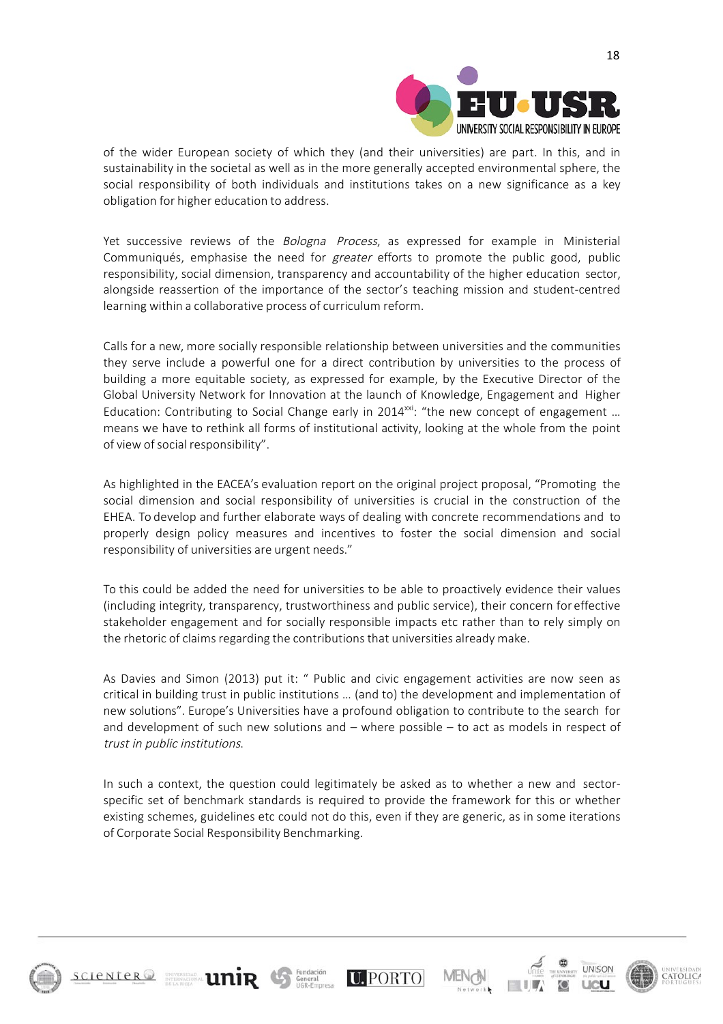

of the wider European society of which they (and their universities) are part. In this, and in sustainability in the societal as well as in the more generally accepted environmental sphere, the social responsibility of both individuals and institutions takes on a new significance as a key obligation for higher education to address.

Yet successive reviews of the *Bologna Process*, as expressed for example in Ministerial Communiqués, emphasise the need for greater efforts to promote the public good, public responsibility, social dimension, transparency and accountability of the higher education sector, alongside reassertion of the importance of the sector's teaching mission and student-centred learning within a collaborative process of curriculum reform.

Calls for a new, more socially responsible relationship between universities and the communities they serve include a powerful one for a direct contribution by universities to the process of building a more equitable society, as expressed for example, by the Executive Director of the Global University Network for Innovation at the launch of Knowledge, Engagement and Higher Education: Contributing to Social Change early in 2014 $^{xxi}$ : "the new concept of engagement ... means we have to rethink all forms of institutional activity, looking at the whole from the point of view of social responsibility".

As highlighted in the EACEA's evaluation report on the original project proposal, "Promoting the social dimension and social responsibility of universities is crucial in the construction of the EHEA. To develop and further elaborate ways of dealing with concrete recommendations and to properly design policy measures and incentives to foster the social dimension and social responsibility of universities are urgent needs."

To this could be added the need for universities to be able to proactively evidence their values (including integrity, transparency, trustworthiness and public service), their concern for effective stakeholder engagement and for socially responsible impacts etc rather than to rely simply on the rhetoric of claims regarding the contributions that universities already make.

As Davies and Simon (2013) put it: " Public and civic engagement activities are now seen as critical in building trust in public institutions … (and to) the development and implementation of new solutions". Europe's Universities have a profound obligation to contribute to the search for and development of such new solutions and – where possible – to act as models in respect of trust in public institutions.

In such a context, the question could legitimately be asked as to whether a new and sectorspecific set of benchmark standards is required to provide the framework for this or whether existing schemes, guidelines etc could not do this, even if they are generic, as in some iterations of Corporate Social Responsibility Benchmarking.

**U.PORTO** 



 $s$ cienter $@$ 

**ENTERNAGEMENT LINIR** General

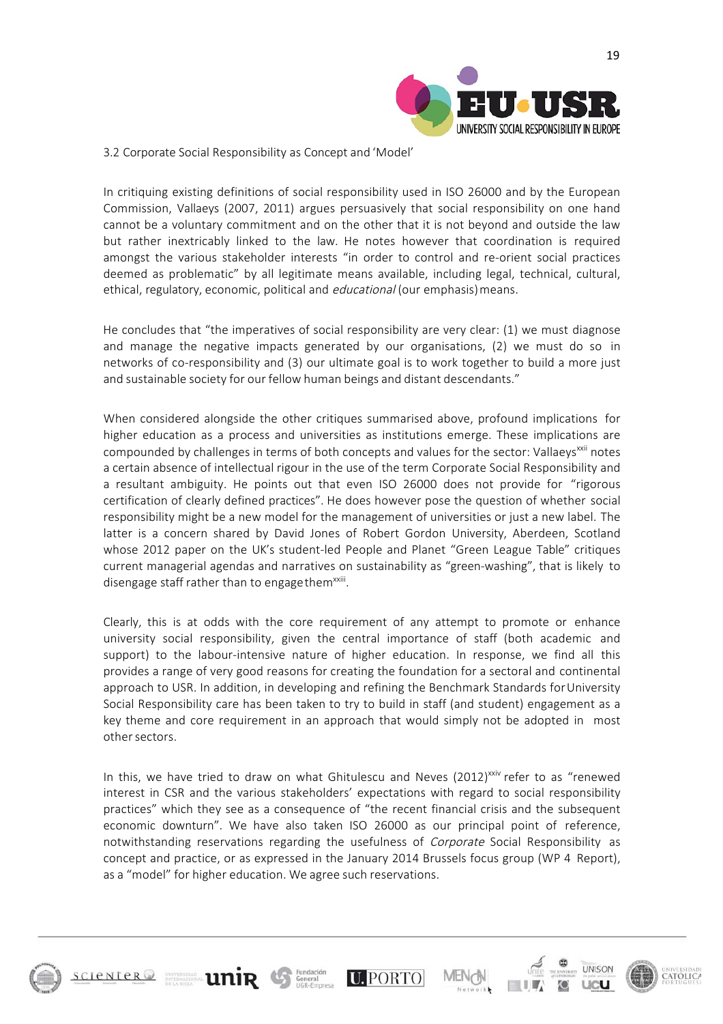

#### 3.2 Corporate Social Responsibility as Concept and 'Model'

In critiquing existing definitions of social responsibility used in ISO 26000 and by the European Commission, Vallaeys (2007, 2011) argues persuasively that social responsibility on one hand cannot be a voluntary commitment and on the other that it is not beyond and outside the law but rather inextricably linked to the law. He notes however that coordination is required amongst the various stakeholder interests "in order to control and re-orient social practices deemed as problematic" by all legitimate means available, including legal, technical, cultural, ethical, regulatory, economic, political and *educational* (our emphasis) means.

He concludes that "the imperatives of social responsibility are very clear: (1) we must diagnose and manage the negative impacts generated by our organisations, (2) we must do so in networks of co-responsibility and (3) our ultimate goal is to work together to build a more just and sustainable society for our fellow human beings and distant descendants."

When considered alongside the other critiques summarised above, profound implications for higher education as a process and universities as institutions emerge. These implications are compounded by challenges in terms of both concepts and values for the sector: Vallaeys<sup>xxii</sup> notes a certain absence of intellectual rigour in the use of the term Corporate Social Responsibility and a resultant ambiguity. He points out that even ISO 26000 does not provide for "rigorous certification of clearly defined practices". He does however pose the question of whether social responsibility might be a new model for the management of universities or just a new label. The latter is a concern shared by David Jones of Robert Gordon University, Aberdeen, Scotland whose 2012 paper on the UK's student-led People and Planet "Green League Table" critiques current managerial agendas and narratives on sustainability as "green-washing", that is likely to disengage staff rather than to engage them<sup>xxiii</sup>.

Clearly, this is at odds with the core requirement of any attempt to promote or enhance university social responsibility, given the central importance of staff (both academic and support) to the labour-intensive nature of higher education. In response, we find all this provides a range of very good reasons for creating the foundation for a sectoral and continental approach to USR. In addition, in developing and refining the Benchmark Standards forUniversity Social Responsibility care has been taken to try to build in staff (and student) engagement as a key theme and core requirement in an approach that would simply not be adopted in most other sectors.

In this, we have tried to draw on what Ghitulescu and Neves (2012)<sup>xxiv</sup> refer to as "renewed interest in CSR and the various stakeholders' expectations with regard to social responsibility practices" which they see as a consequence of "the recent financial crisis and the subsequent economic downturn". We have also taken ISO 26000 as our principal point of reference, notwithstanding reservations regarding the usefulness of Corporate Social Responsibility as concept and practice, or as expressed in the January 2014 Brussels focus group (WP 4 Report), as a "model" for higher education. We agree such reservations.

**U.PORTO** 



**SCIENTER**<sup>2</sup>

**UniR** 



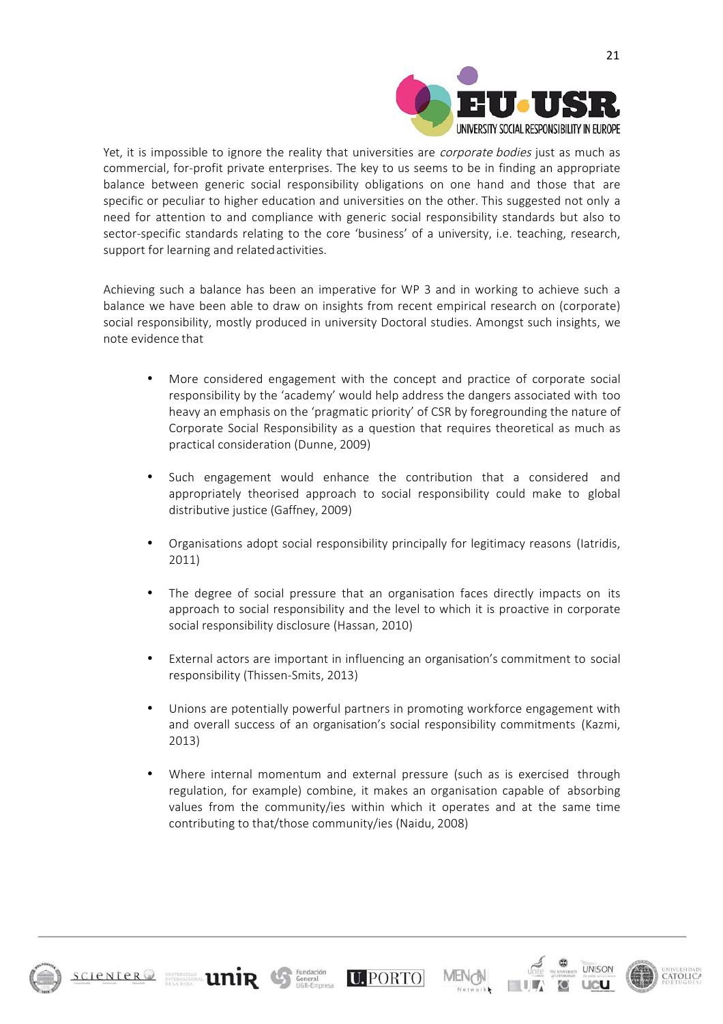

Yet, it is impossible to ignore the reality that universities are corporate bodies just as much as commercial, for-profit private enterprises. The key to us seems to be in finding an appropriate balance between generic social responsibility obligations on one hand and those that are specific or peculiar to higher education and universities on the other. This suggested not only a need for attention to and compliance with generic social responsibility standards but also to sector-specific standards relating to the core 'business' of a university, i.e. teaching, research, support for learning and relatedactivities.

Achieving such a balance has been an imperative for WP 3 and in working to achieve such a balance we have been able to draw on insights from recent empirical research on (corporate) social responsibility, mostly produced in university Doctoral studies. Amongst such insights, we note evidence that

- More considered engagement with the concept and practice of corporate social responsibility by the 'academy' would help address the dangers associated with too heavy an emphasis on the 'pragmatic priority' of CSR by foregrounding the nature of Corporate Social Responsibility as a question that requires theoretical as much as practical consideration (Dunne, 2009)
- Such engagement would enhance the contribution that a considered and appropriately theorised approach to social responsibility could make to global distributive justice (Gaffney, 2009)
- Organisations adopt social responsibility principally for legitimacy reasons (Iatridis, 2011)
- The degree of social pressure that an organisation faces directly impacts on its approach to social responsibility and the level to which it is proactive in corporate social responsibility disclosure (Hassan, 2010)
- External actors are important in influencing an organisation's commitment to social responsibility (Thissen-Smits, 2013)
- Unions are potentially powerful partners in promoting workforce engagement with and overall success of an organisation's social responsibility commitments (Kazmi, 2013)
- Where internal momentum and external pressure (such as is exercised through regulation, for example) combine, it makes an organisation capable of absorbing values from the community/ies within which it operates and at the same time contributing to that/those community/ies (Naidu, 2008)

**U.PORTO** 

**United States Liming Contract on A Fundaction** 



**SCIENTER**<sup>2</sup>

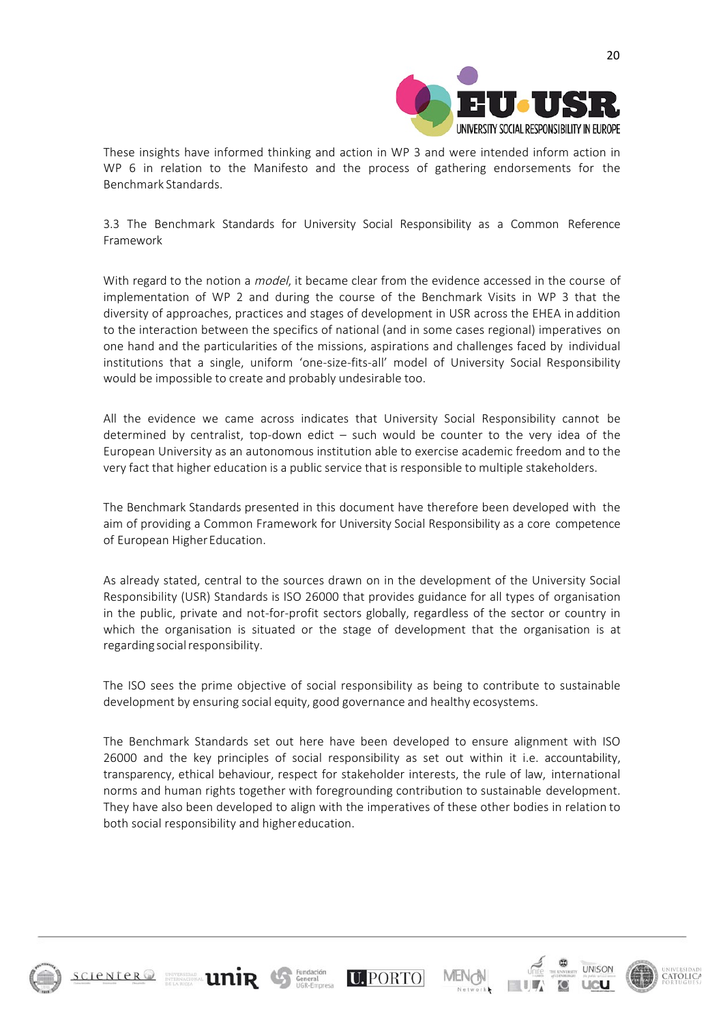

These insights have informed thinking and action in WP 3 and were intended inform action in WP 6 in relation to the Manifesto and the process of gathering endorsements for the Benchmark Standards.

3.3 The Benchmark Standards for University Social Responsibility as a Common Reference Framework

With regard to the notion a *model*, it became clear from the evidence accessed in the course of implementation of WP 2 and during the course of the Benchmark Visits in WP 3 that the diversity of approaches, practices and stages of development in USR across the EHEA in addition to the interaction between the specifics of national (and in some cases regional) imperatives on one hand and the particularities of the missions, aspirations and challenges faced by individual institutions that a single, uniform 'one-size-fits-all' model of University Social Responsibility would be impossible to create and probably undesirable too.

All the evidence we came across indicates that University Social Responsibility cannot be determined by centralist, top-down edict – such would be counter to the very idea of the European University as an autonomous institution able to exercise academic freedom and to the very fact that higher education is a public service that is responsible to multiple stakeholders.

The Benchmark Standards presented in this document have therefore been developed with the aim of providing a Common Framework for University Social Responsibility as a core competence of European HigherEducation.

As already stated, central to the sources drawn on in the development of the University Social Responsibility (USR) Standards is ISO 26000 that provides guidance for all types of organisation in the public, private and not-for-profit sectors globally, regardless of the sector or country in which the organisation is situated or the stage of development that the organisation is at regarding social responsibility.

The ISO sees the prime objective of social responsibility as being to contribute to sustainable development by ensuring social equity, good governance and healthy ecosystems.

The Benchmark Standards set out here have been developed to ensure alignment with ISO 26000 and the key principles of social responsibility as set out within it i.e. accountability, transparency, ethical behaviour, respect for stakeholder interests, the rule of law, international norms and human rights together with foregrounding contribution to sustainable development. They have also been developed to align with the imperatives of these other bodies in relation to both social responsibility and highereducation.

**U.PORTO** 

**unin** General



**SCIENTER**<sup>2</sup>

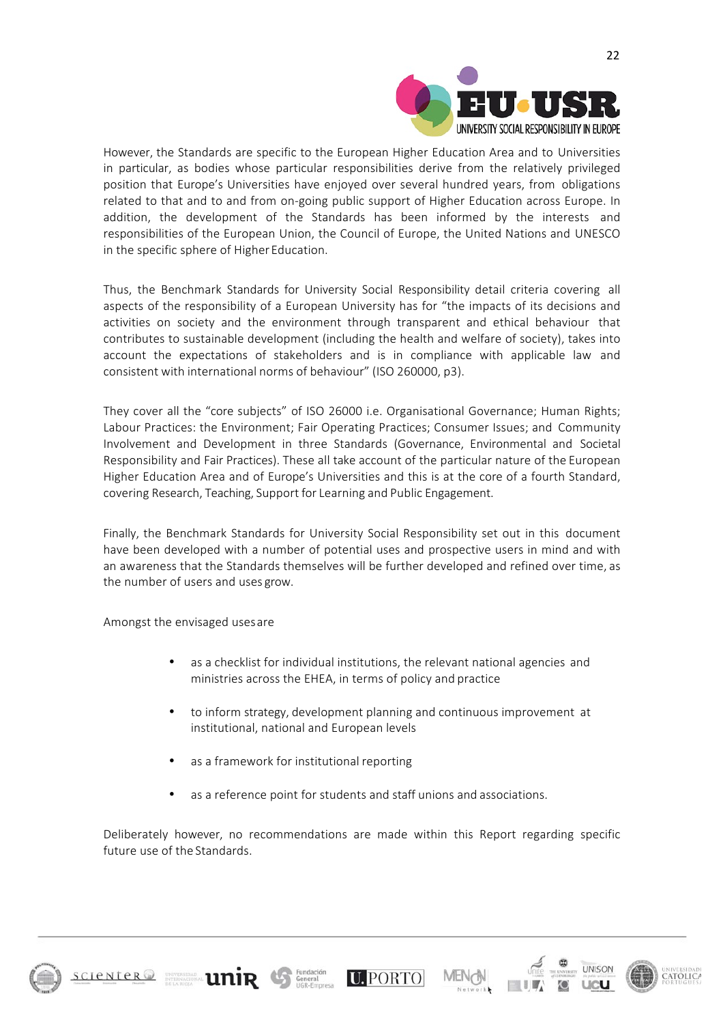

However, the Standards are specific to the European Higher Education Area and to Universities in particular, as bodies whose particular responsibilities derive from the relatively privileged position that Europe's Universities have enjoyed over several hundred years, from obligations related to that and to and from on-going public support of Higher Education across Europe. In addition, the development of the Standards has been informed by the interests and responsibilities of the European Union, the Council of Europe, the United Nations and UNESCO in the specific sphere of Higher Education.

Thus, the Benchmark Standards for University Social Responsibility detail criteria covering all aspects of the responsibility of a European University has for "the impacts of its decisions and activities on society and the environment through transparent and ethical behaviour that contributes to sustainable development (including the health and welfare of society), takes into account the expectations of stakeholders and is in compliance with applicable law and consistent with international norms of behaviour" (ISO 260000, p3).

They cover all the "core subjects" of ISO 26000 i.e. Organisational Governance; Human Rights; Labour Practices: the Environment; Fair Operating Practices; Consumer Issues; and Community Involvement and Development in three Standards (Governance, Environmental and Societal Responsibility and Fair Practices). These all take account of the particular nature of the European Higher Education Area and of Europe's Universities and this is at the core of a fourth Standard, covering Research, Teaching, Support for Learning and Public Engagement.

Finally, the Benchmark Standards for University Social Responsibility set out in this document have been developed with a number of potential uses and prospective users in mind and with an awareness that the Standards themselves will be further developed and refined over time, as the number of users and uses grow.

Amongst the envisaged usesare

- as a checklist for individual institutions, the relevant national agencies and ministries across the EHEA, in terms of policy and practice
- to inform strategy, development planning and continuous improvement at institutional, national and European levels
- as a framework for institutional reporting
- as a reference point for students and staff unions and associations.

Deliberately however, no recommendations are made within this Report regarding specific future use of the Standards.

**U.PORTO** 





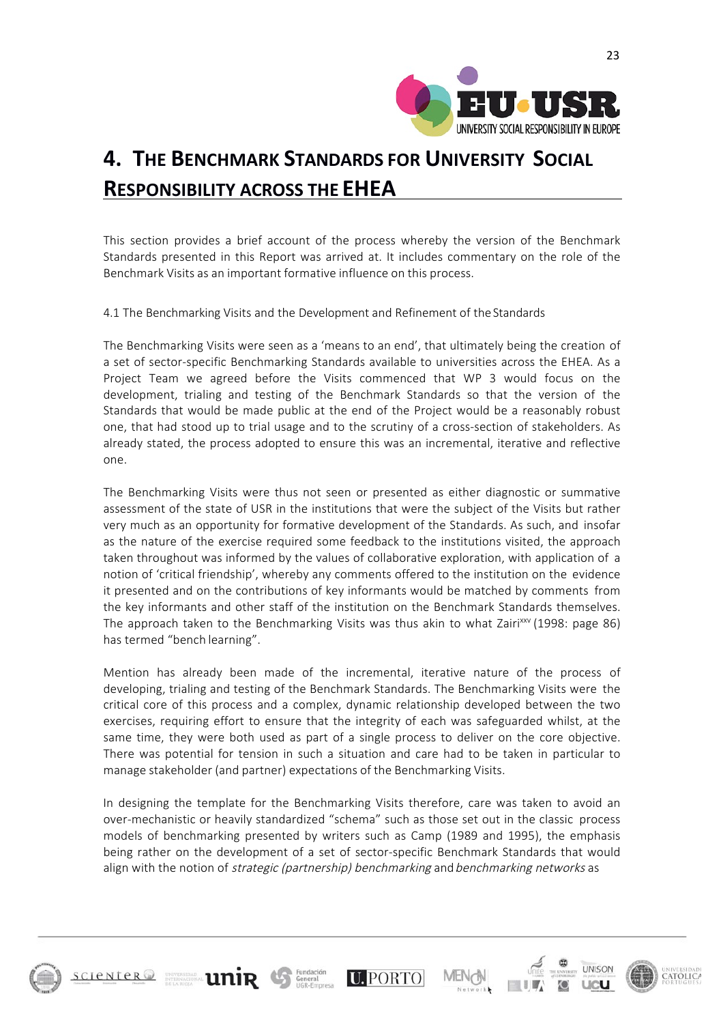

# **4. THE BENCHMARK STANDARDS FOR UNIVERSITY SOCIAL RESPONSIBILITY ACROSS THE EHEA**

This section provides a brief account of the process whereby the version of the Benchmark Standards presented in this Report was arrived at. It includes commentary on the role of the Benchmark Visits as an important formative influence on this process.

4.1 The Benchmarking Visits and the Development and Refinement of the Standards

The Benchmarking Visits were seen as a 'means to an end', that ultimately being the creation of a set of sector-specific Benchmarking Standards available to universities across the EHEA. As a Project Team we agreed before the Visits commenced that WP 3 would focus on the development, trialing and testing of the Benchmark Standards so that the version of the Standards that would be made public at the end of the Project would be a reasonably robust one, that had stood up to trial usage and to the scrutiny of a cross-section of stakeholders. As already stated, the process adopted to ensure this was an incremental, iterative and reflective one.

The Benchmarking Visits were thus not seen or presented as either diagnostic or summative assessment of the state of USR in the institutions that were the subject of the Visits but rather very much as an opportunity for formative development of the Standards. As such, and insofar as the nature of the exercise required some feedback to the institutions visited, the approach taken throughout was informed by the values of collaborative exploration, with application of a notion of 'critical friendship', whereby any comments offered to the institution on the evidence it presented and on the contributions of key informants would be matched by comments from the key informants and other staff of the institution on the Benchmark Standards themselves. The approach taken to the Benchmarking Visits was thus akin to what Zairi<sup>xxv</sup> (1998: page 86) has termed "bench learning".

Mention has already been made of the incremental, iterative nature of the process of developing, trialing and testing of the Benchmark Standards. The Benchmarking Visits were the critical core of this process and a complex, dynamic relationship developed between the two exercises, requiring effort to ensure that the integrity of each was safeguarded whilst, at the same time, they were both used as part of a single process to deliver on the core objective. There was potential for tension in such a situation and care had to be taken in particular to manage stakeholder (and partner) expectations of the Benchmarking Visits.

In designing the template for the Benchmarking Visits therefore, care was taken to avoid an over-mechanistic or heavily standardized "schema" such as those set out in the classic process models of benchmarking presented by writers such as Camp (1989 and 1995), the emphasis being rather on the development of a set of sector-specific Benchmark Standards that would align with the notion of *strategic (partnership) benchmarking* and benchmarking networks as

**U. PORTO** 

**United States Links** 



**SCIENTER**<sup>2</sup>



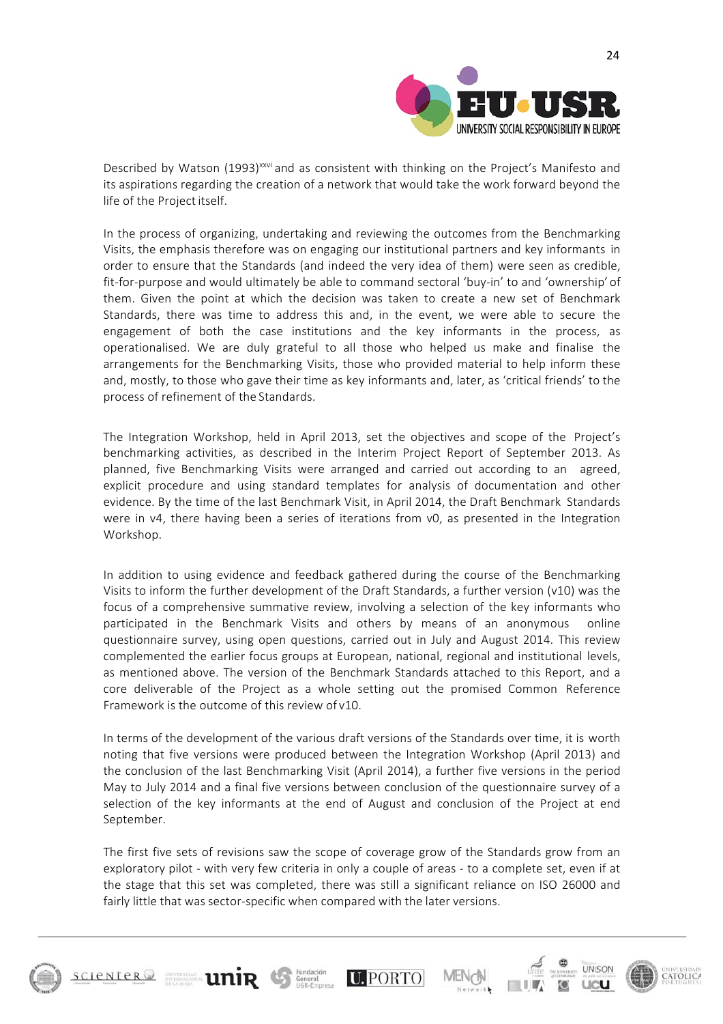

Described by Watson (1993)<sup>xxvi</sup> and as consistent with thinking on the Project's Manifesto and its aspirations regarding the creation of a network that would take the work forward beyond the life of the Project itself.

In the process of organizing, undertaking and reviewing the outcomes from the Benchmarking Visits, the emphasis therefore was on engaging our institutional partners and key informants in order to ensure that the Standards (and indeed the very idea of them) were seen as credible, fit-for-purpose and would ultimately be able to command sectoral 'buy-in' to and 'ownership' of them. Given the point at which the decision was taken to create a new set of Benchmark Standards, there was time to address this and, in the event, we were able to secure the engagement of both the case institutions and the key informants in the process, as operationalised. We are duly grateful to all those who helped us make and finalise the arrangements for the Benchmarking Visits, those who provided material to help inform these and, mostly, to those who gave their time as key informants and, later, as 'critical friends' to the process of refinement of the Standards.

The Integration Workshop, held in April 2013, set the objectives and scope of the Project's benchmarking activities, as described in the Interim Project Report of September 2013. As planned, five Benchmarking Visits were arranged and carried out according to an agreed, explicit procedure and using standard templates for analysis of documentation and other evidence. By the time of the last Benchmark Visit, in April 2014, the Draft Benchmark Standards were in v4, there having been a series of iterations from v0, as presented in the Integration Workshop.

In addition to using evidence and feedback gathered during the course of the Benchmarking Visits to inform the further development of the Draft Standards, a further version (v10) was the focus of a comprehensive summative review, involving a selection of the key informants who participated in the Benchmark Visits and others by means of an anonymous online questionnaire survey, using open questions, carried out in July and August 2014. This review complemented the earlier focus groups at European, national, regional and institutional levels, as mentioned above. The version of the Benchmark Standards attached to this Report, and a core deliverable of the Project as a whole setting out the promised Common Reference Framework is the outcome of this review of v10.

In terms of the development of the various draft versions of the Standards over time, it is worth noting that five versions were produced between the Integration Workshop (April 2013) and the conclusion of the last Benchmarking Visit (April 2014), a further five versions in the period May to July 2014 and a final five versions between conclusion of the questionnaire survey of a selection of the key informants at the end of August and conclusion of the Project at end September.

The first five sets of revisions saw the scope of coverage grow of the Standards grow from an exploratory pilot - with very few criteria in only a couple of areas - to a complete set, even if at the stage that this set was completed, there was still a significant reliance on ISO 26000 and fairly little that was sector-specific when compared with the later versions.

**U. PORTO** 

**EXPRESSIONAL LIMIR CONDUCTS** Ennergy



 $s$ cienter $@$ 

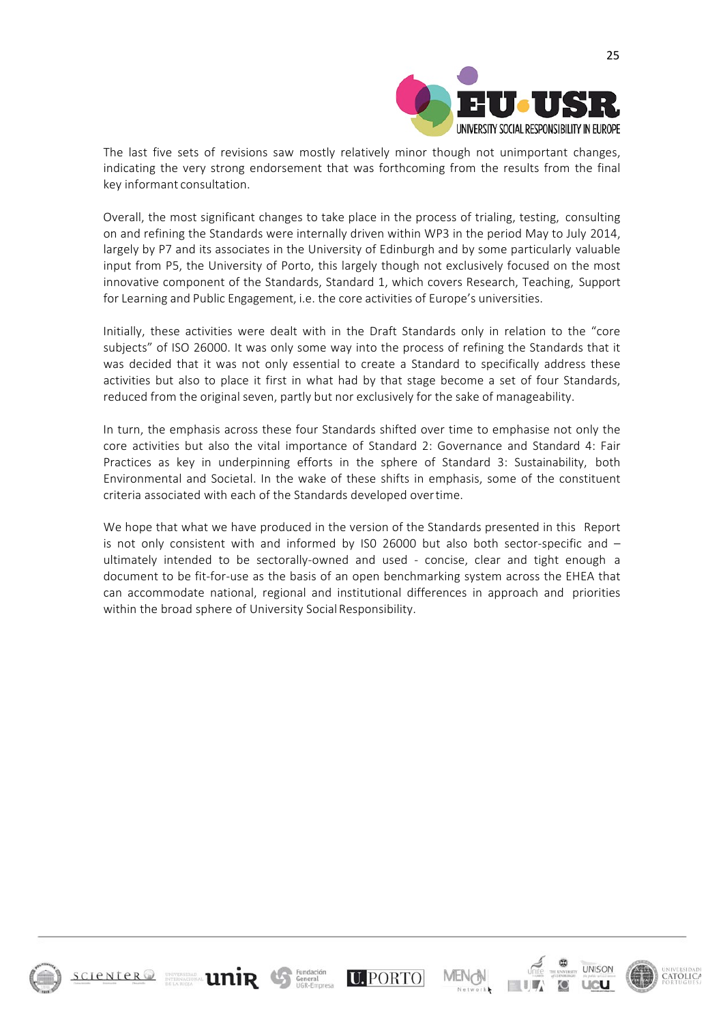

The last five sets of revisions saw mostly relatively minor though not unimportant changes, indicating the very strong endorsement that was forthcoming from the results from the final key informant consultation.

Overall, the most significant changes to take place in the process of trialing, testing, consulting on and refining the Standards were internally driven within WP3 in the period May to July 2014, largely by P7 and its associates in the University of Edinburgh and by some particularly valuable input from P5, the University of Porto, this largely though not exclusively focused on the most innovative component of the Standards, Standard 1, which covers Research, Teaching, Support for Learning and Public Engagement, i.e. the core activities of Europe's universities.

Initially, these activities were dealt with in the Draft Standards only in relation to the "core subjects" of ISO 26000. It was only some way into the process of refining the Standards that it was decided that it was not only essential to create a Standard to specifically address these activities but also to place it first in what had by that stage become a set of four Standards, reduced from the original seven, partly but nor exclusively for the sake of manageability.

In turn, the emphasis across these four Standards shifted over time to emphasise not only the core activities but also the vital importance of Standard 2: Governance and Standard 4: Fair Practices as key in underpinning efforts in the sphere of Standard 3: Sustainability, both Environmental and Societal. In the wake of these shifts in emphasis, some of the constituent criteria associated with each of the Standards developed overtime.

We hope that what we have produced in the version of the Standards presented in this Report is not only consistent with and informed by IS0 26000 but also both sector-specific and – ultimately intended to be sectorally-owned and used - concise, clear and tight enough a document to be fit-for-use as the basis of an open benchmarking system across the EHEA that can accommodate national, regional and institutional differences in approach and priorities within the broad sphere of University Social Responsibility.

**U.PORTO** 

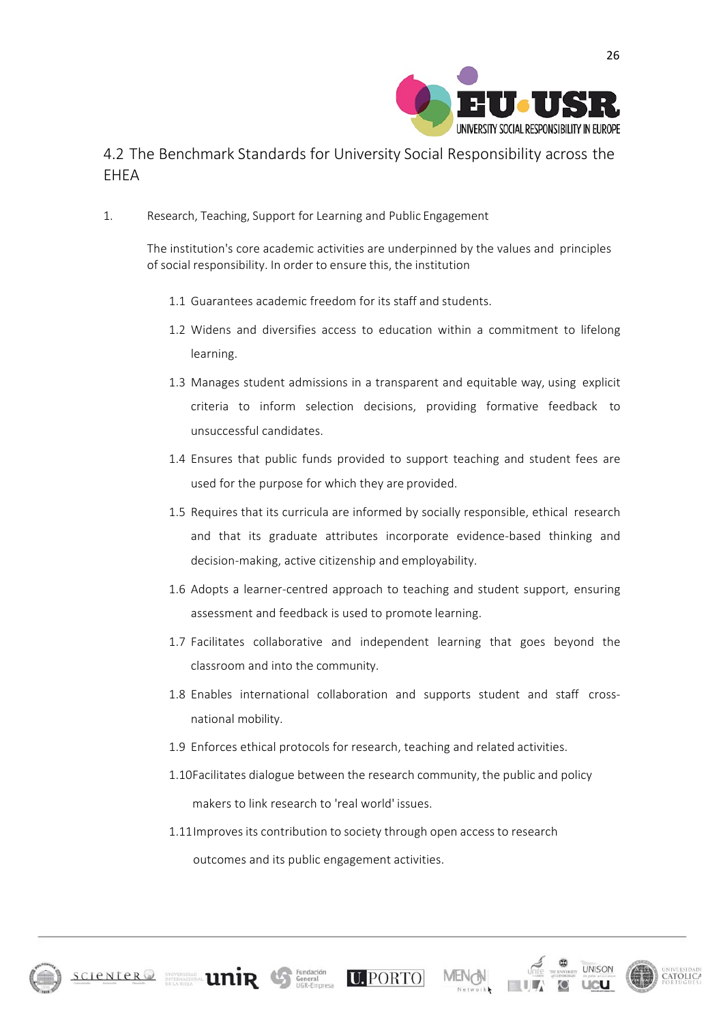

### 4.2 The Benchmark Standards for University Social Responsibility across the **FHFA**

1. Research, Teaching, Support for Learning and Public Engagement

The institution's core academic activities are underpinned by the values and principles of social responsibility. In order to ensure this, the institution

- 1.1 Guarantees academic freedom for its staff and students.
- 1.2 Widens and diversifies access to education within a commitment to lifelong learning.
- 1.3 Manages student admissions in a transparent and equitable way, using explicit criteria to inform selection decisions, providing formative feedback to unsuccessful candidates.
- 1.4 Ensures that public funds provided to support teaching and student fees are used for the purpose for which they are provided.
- 1.5 Requires that its curricula are informed by socially responsible, ethical research and that its graduate attributes incorporate evidence-based thinking and decision-making, active citizenship and employability.
- 1.6 Adopts a learner-centred approach to teaching and student support, ensuring assessment and feedback is used to promote learning.
- 1.7 Facilitates collaborative and independent learning that goes beyond the classroom and into the community.
- 1.8 Enables international collaboration and supports student and staff crossnational mobility.
- 1.9 Enforces ethical protocols for research, teaching and related activities.
- 1.10Facilitates dialogue between the research community, the public and policy makers to link research to 'real world' issues.
- 1.11Improves its contribution to society through open access to research outcomes and its public engagement activities.





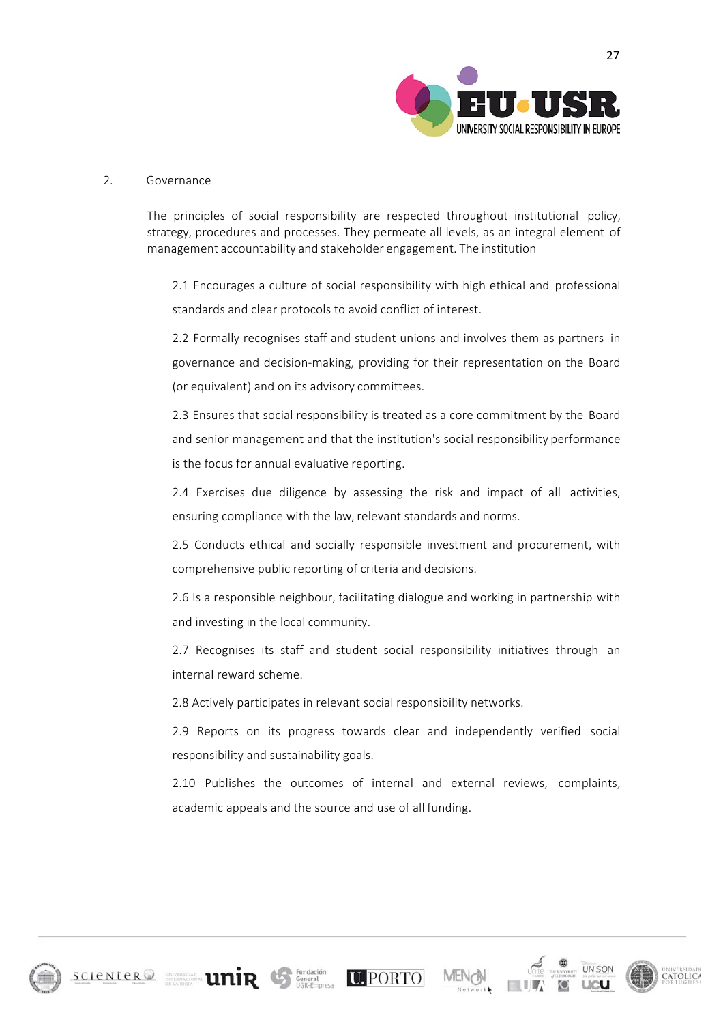

#### 2. Governance

The principles of social responsibility are respected throughout institutional policy, strategy, procedures and processes. They permeate all levels, as an integral element of management accountability and stakeholder engagement. The institution

2.1 Encourages a culture of social responsibility with high ethical and professional standards and clear protocols to avoid conflict of interest.

2.2 Formally recognises staff and student unions and involves them as partners in governance and decision-making, providing for their representation on the Board (or equivalent) and on its advisory committees.

2.3 Ensures that social responsibility is treated as a core commitment by the Board and senior management and that the institution's social responsibility performance is the focus for annual evaluative reporting.

2.4 Exercises due diligence by assessing the risk and impact of all activities, ensuring compliance with the law, relevant standards and norms.

2.5 Conducts ethical and socially responsible investment and procurement, with comprehensive public reporting of criteria and decisions.

2.6 Is a responsible neighbour, facilitating dialogue and working in partnership with and investing in the local community.

2.7 Recognises its staff and student social responsibility initiatives through an internal reward scheme.

2.8 Actively participates in relevant social responsibility networks.

 $SCIENCE \n  
\nSCIENCE \n  
\n**UNIR**  $Gr<sub>fered</sub>$   $U<sub>eff</sub>$   $U<sub>eff</sub>$   $U<sub>eff</sub>$   $PORTO$$ 

2.9 Reports on its progress towards clear and independently verified social responsibility and sustainability goals.

2.10 Publishes the outcomes of internal and external reviews, complaints, academic appeals and the source and use of all funding.





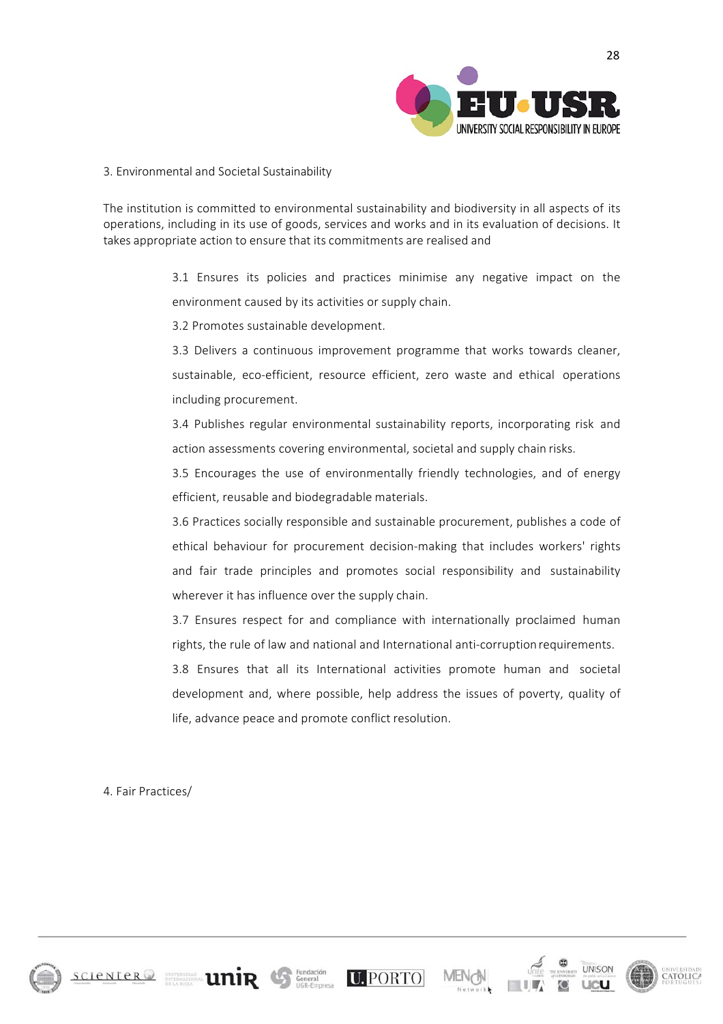

#### 3. Environmental and Societal Sustainability

The institution is committed to environmental sustainability and biodiversity in all aspects of its operations, including in its use of goods, services and works and in its evaluation of decisions. It takes appropriate action to ensure that its commitments are realised and

> 3.1 Ensures its policies and practices minimise any negative impact on the environment caused by its activities or supply chain.

3.2 Promotes sustainable development.

3.3 Delivers a continuous improvement programme that works towards cleaner, sustainable, eco-efficient, resource efficient, zero waste and ethical operations including procurement.

3.4 Publishes regular environmental sustainability reports, incorporating risk and action assessments covering environmental, societal and supply chain risks.

3.5 Encourages the use of environmentally friendly technologies, and of energy efficient, reusable and biodegradable materials.

3.6 Practices socially responsible and sustainable procurement, publishes a code of ethical behaviour for procurement decision-making that includes workers' rights and fair trade principles and promotes social responsibility and sustainability wherever it has influence over the supply chain.

3.7 Ensures respect for and compliance with internationally proclaimed human rights, the rule of law and national and International anti-corruptionrequirements.

3.8 Ensures that all its International activities promote human and societal development and, where possible, help address the issues of poverty, quality of life, advance peace and promote conflict resolution.

4. Fair Practices/

 $SCIENCE \n  
\nSCIENCE \n  
\n**UNIR**  $Gr<sub>fered</sub>$   $U<sub>eff</sub>$   $U<sub>eff</sub>$   $U<sub>eff</sub>$   $PORTO$$ 





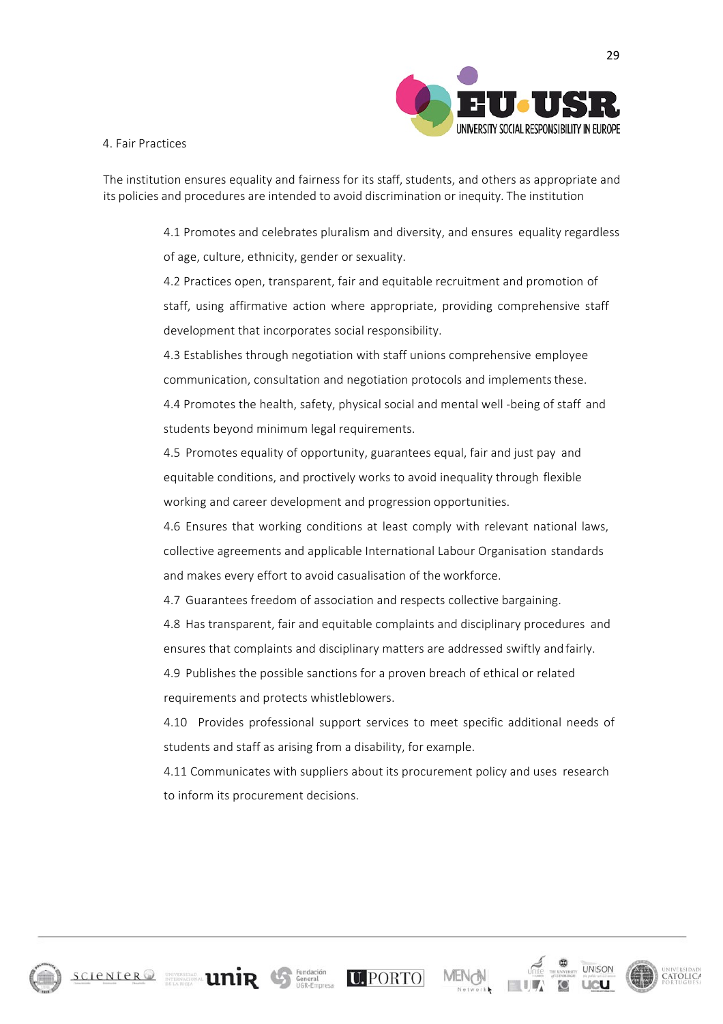

4. Fair Practices

The institution ensures equality and fairness for its staff, students, and others as appropriate and its policies and procedures are intended to avoid discrimination or inequity. The institution

> 4.1 Promotes and celebrates pluralism and diversity, and ensures equality regardless of age, culture, ethnicity, gender or sexuality.

4.2 Practices open, transparent, fair and equitable recruitment and promotion of staff, using affirmative action where appropriate, providing comprehensive staff development that incorporates social responsibility.

4.3 Establishes through negotiation with staff unions comprehensive employee communication, consultation and negotiation protocols and implements these. 4.4 Promotes the health, safety, physical social and mental well -being of staff and students beyond minimum legal requirements.

4.5 Promotes equality of opportunity, guarantees equal, fair and just pay and equitable conditions, and proctively works to avoid inequality through flexible working and career development and progression opportunities.

4.6 Ensures that working conditions at least comply with relevant national laws, collective agreements and applicable International Labour Organisation standards and makes every effort to avoid casualisation of the workforce.

4.7 Guarantees freedom of association and respects collective bargaining.

4.8 Has transparent, fair and equitable complaints and disciplinary procedures and ensures that complaints and disciplinary matters are addressed swiftly andfairly.

4.9 Publishes the possible sanctions for a proven breach of ethical or related requirements and protects whistleblowers.

4.10 Provides professional support services to meet specific additional needs of students and staff as arising from a disability, for example.

4.11 Communicates with suppliers about its procurement policy and uses research to inform its procurement decisions.

 $\text{SCIENCE}$   $\text{SCIENCE}$   $\text{SIEATE}$   $\text{MIR}$   $\text{GIATE}$   $\text{SIEATE}$   $\text{SIEATE}$   $\text{SIEATE}$ 





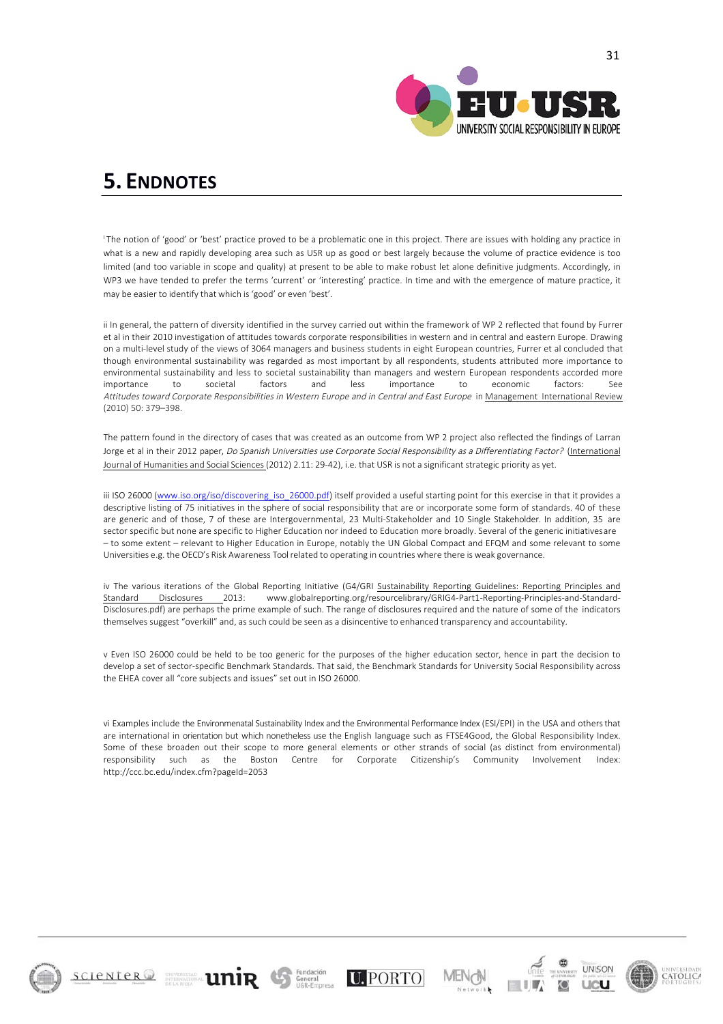

## **5. ENDNOTES**

<sup>1</sup>The notion of 'good' or 'best' practice proved to be a problematic one in this project. There are issues with holding any practice in what is a new and rapidly developing area such as USR up as good or best largely because the volume of practice evidence is too limited (and too variable in scope and quality) at present to be able to make robust let alone definitive judgments. Accordingly, in WP3 we have tended to prefer the terms 'current' or 'interesting' practice. In time and with the emergence of mature practice, it may be easier to identify that which is 'good' or even 'best'.

ii In general, the pattern of diversity identified in the survey carried out within the framework of WP 2 reflected that found by Furrer et al in their 2010 investigation of attitudes towards corporate responsibilities in western and in central and eastern Europe. Drawing on a multi-level study of the views of 3064 managers and business students in eight European countries, Furrer et al concluded that though environmental sustainability was regarded as most important by all respondents, students attributed more importance to environmental sustainability and less to societal sustainability than managers and western European respondents accorded more importance to societal factors and less importance to economic factors: See Attitudes toward Corporate Responsibilities in Western Europe and in Central and East Europe in Management International Review (2010) 50: 379–398.

The pattern found in the directory of cases that was created as an outcome from WP 2 project also reflected the findings of Larran Jorge et al in their 2012 paper, Do Spanish Universities use Corporate Social Responsibility as a Differentiating Factor? (International Journal of Humanities and Social Sciences (2012) 2.11: 29-42), i.e. that USR is not a significant strategic priority as yet.

iii ISO 26000 (www.iso.org/iso/discovering iso 26000.pdf) itself provided a useful starting point for this exercise in that it provides a descriptive listing of 75 initiatives in the sphere of social responsibility that are or incorporate some form of standards. 40 of these are generic and of those, 7 of these are Intergovernmental, 23 Multi-Stakeholder and 10 Single Stakeholder. In addition, 35 are sector specific but none are specific to Higher Education nor indeed to Education more broadly. Several of the generic initiativesare – to some extent – relevant to Higher Education in Europe, notably the UN Global Compact and EFQM and some relevant to some Universities e.g. the OECD's Risk Awareness Toolrelated to operating in countries where there is weak governance.

iv The various iterations of the Global Reporting Initiative (G4/GRI Sustainability Reporting Guidelines: Reporting Principles and Standard Disclosures 2013: www.globalreporting.org/resourcelibrary/GRIG4-Part1-Reporting-Principles-and-Standard-Disclosures.pdf) are perhaps the prime example of such. The range of disclosures required and the nature of some of the indicators themselves suggest "overkill" and, as such could be seen as a disincentive to enhanced transparency and accountability.

v Even ISO 26000 could be held to be too generic for the purposes of the higher education sector, hence in part the decision to develop a set of sector-specific Benchmark Standards. That said, the Benchmark Standards for University Social Responsibility across the EHEA cover all "core subjects and issues" set out in ISO 26000.

vi Examples include the Environmenatal Sustainability Index and the Environmental Performance Index (ESI/EPI) in the USA and othersthat are international in orientation but which nonetheless use the English language such as FTSE4Good, the Global Responsibility Index. Some of these broaden out their scope to more general elements or other strands of social (as distinct from environmental) responsibility such as the Boston Centre for Corporate Citizenship's Community Involvement Index: http://ccc.bc.edu/index.cfm?pageId=2053

 $\text{SCIENCE}$   $\text{R}$   $\text{SVD}$   $\text{R}$   $\text{C}$   $\text{SVD}$   $\text{C}$   $\text{SVD}$   $\text{C}$   $\text{D}$   $\text{PORTO}$ 





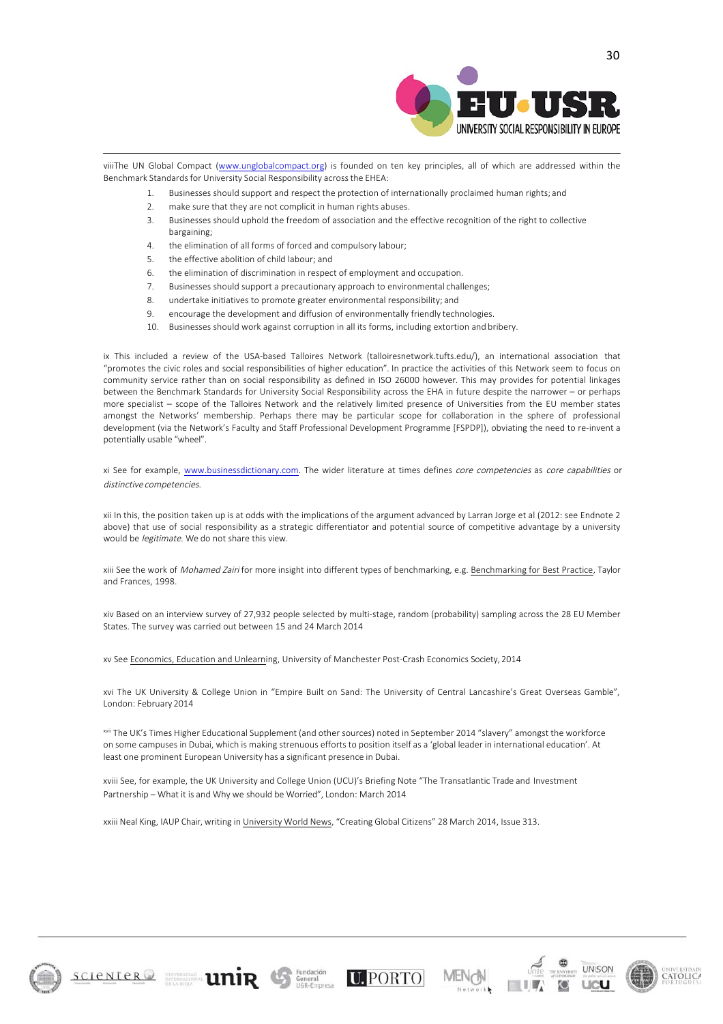

viiiThe UN Global Compact (www.unglobalcompact.org) is founded on ten key principles, all of which are addressed within the Benchmark Standards for University Social Responsibility across the EHEA:

- 1. Businesses should support and respect the protection of internationally proclaimed human rights; and
- 2. make sure that they are not complicit in human rights abuses.
- 3. Businesses should uphold the freedom of association and the effective recognition of the right to collective bargaining;
- 4. the elimination of all forms of forced and compulsory labour;
- 5. the effective abolition of child labour; and
- 6. the elimination of discrimination in respect of employment and occupation.
- 7. Businesses should support a precautionary approach to environmental challenges;
- 8. undertake initiatives to promote greater environmental responsibility; and
- 9. encourage the development and diffusion of environmentally friendly technologies.
- 10. Businesses should work against corruption in all its forms, including extortion and bribery.

ix This included a review of the USA-based Talloires Network (talloiresnetwork.tufts.edu/), an international association that "promotes the civic roles and social responsibilities of higher education". In practice the activities of this Network seem to focus on community service rather than on social responsibility as defined in ISO 26000 however. This may provides for potential linkages between the Benchmark Standards for University Social Responsibility across the EHA in future despite the narrower – or perhaps more specialist – scope of the Talloires Network and the relatively limited presence of Universities from the EU member states amongst the Networks' membership. Perhaps there may be particular scope for collaboration in the sphere of professional development (via the Network's Faculty and Staff Professional Development Programme [FSPDP]), obviating the need to re-invent a potentially usable "wheel".

xi See for example, www.businessdictionary.com. The wider literature at times defines core competencies as core capabilities or distinctive competencies.

xii In this, the position taken up is at odds with the implications of the argument advanced by Larran Jorge et al (2012: see Endnote 2 above) that use of social responsibility as a strategic differentiator and potential source of competitive advantage by a university would be legitimate. We do not share this view.

xiii See the work of *Mohamed Zairi* for more insight into different types of benchmarking, e.g. Benchmarking for Best Practice, Taylor and Frances, 1998.

xiv Based on an interview survey of 27,932 people selected by multi-stage, random (probability) sampling across the 28 EU Member States. The survey was carried out between 15 and 24 March 2014

xv See Economics, Education and Unlearning, University of Manchester Post-Crash Economics Society, 2014

xvi The UK University & College Union in "Empire Built on Sand: The University of Central Lancashire's Great Overseas Gamble", London: February 2014

xvii The UK's Times Higher Educational Supplement (and other sources) noted in September 2014 "slavery" amongst the workforce on some campuses in Dubai, which is making strenuous efforts to position itself as a 'global leader in international education'. At least one prominent European University has a significant presence in Dubai.

xviii See, for example, the UK University and College Union (UCU)'s Briefing Note "The Transatlantic Trade and Investment Partnership – What it is and Why we should be Worried", London: March 2014

xxiii Neal King, IAUP Chair, writing in University World News, "Creating Global Citizens" 28 March 2014, Issue 313.

 $SCIENCE \n  
\nSCIENCE \n  
\n**UNIR**  $Gr<sub>fered</sub>$   $U<sub>eff</sub>$   $U<sub>eff</sub>$   $U<sub>eff</sub>$   $PORTO$$ 





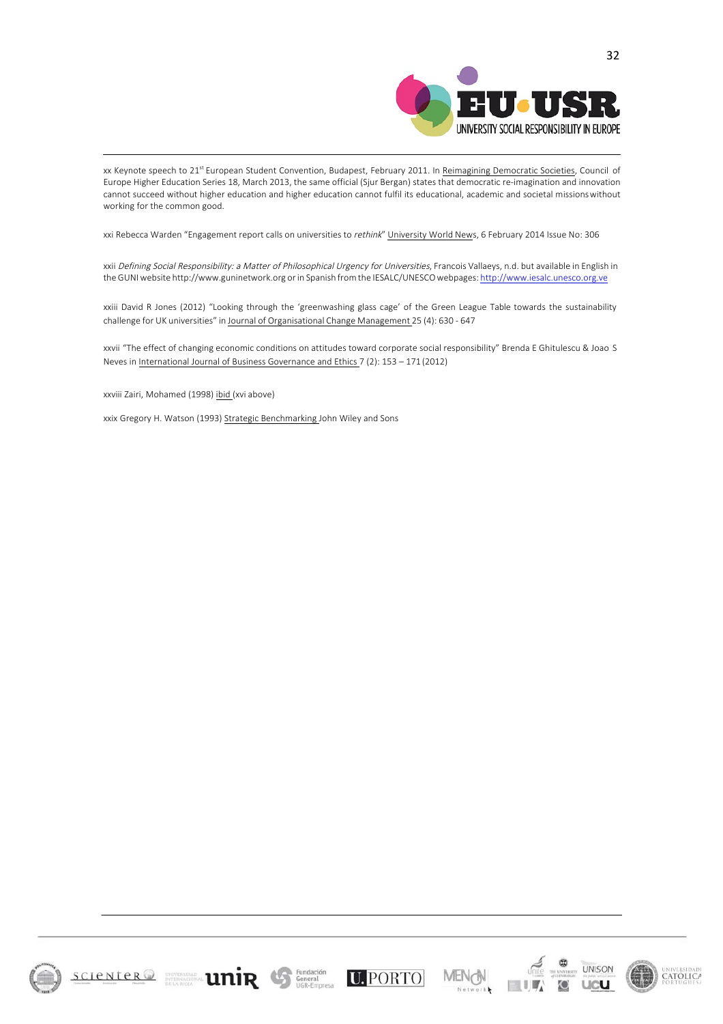

xx Keynote speech to 21<sup>st</sup> European Student Convention, Budapest, February 2011. In Reimagining Democratic Societies, Council of Europe Higher Education Series 18, March 2013, the same official (Sjur Bergan) states that democratic re-imagination and innovation cannot succeed without higher education and higher education cannot fulfil its educational, academic and societal missionswithout working for the common good.

xxi Rebecca Warden "Engagement report calls on universities to rethink" University World News, 6 February 2014 Issue No: 306

xxii Defining Social Responsibility: a Matter of Philosophical Urgency for Universities, Francois Vallaeys, n.d. but available in English in the GUNIwebsite http://www.guninetwork.org orin Spanish from the IESALC/UNESCOwebpages: http://www.iesalc.unesco.org.ve

xxiii David R Jones (2012) "Looking through the 'greenwashing glass cage' of the Green League Table towards the sustainability challenge for UK universities" in Journal of Organisational Change Management 25 (4): 630 - 647

xxvii "The effect of changing economic conditions on attitudes toward corporate social responsibility" Brenda E Ghitulescu & Joao S Neves in International Journal of Business Governance and Ethics 7 (2): 153 – 171 (2012)

xxviii Zairi, Mohamed (1998) ibid (xvi above)

xxix Gregory H. Watson (1993) Strategic Benchmarking John Wiley and Sons

 $\text{SCIENCE}$   $\text{R}$   $\text{SVD}$   $\text{R}$   $\text{V}$   $\text{F}$   $\text{V}$   $\text{F}$   $\text{S}$   $\text{C}$   $\text{S}$   $\text{C}$   $\text{S}$   $\text{C}$   $\text{S}$   $\text{C}$   $\text{S}$   $\text{C}$   $\text{D}$   $\text{PORTO}$ 





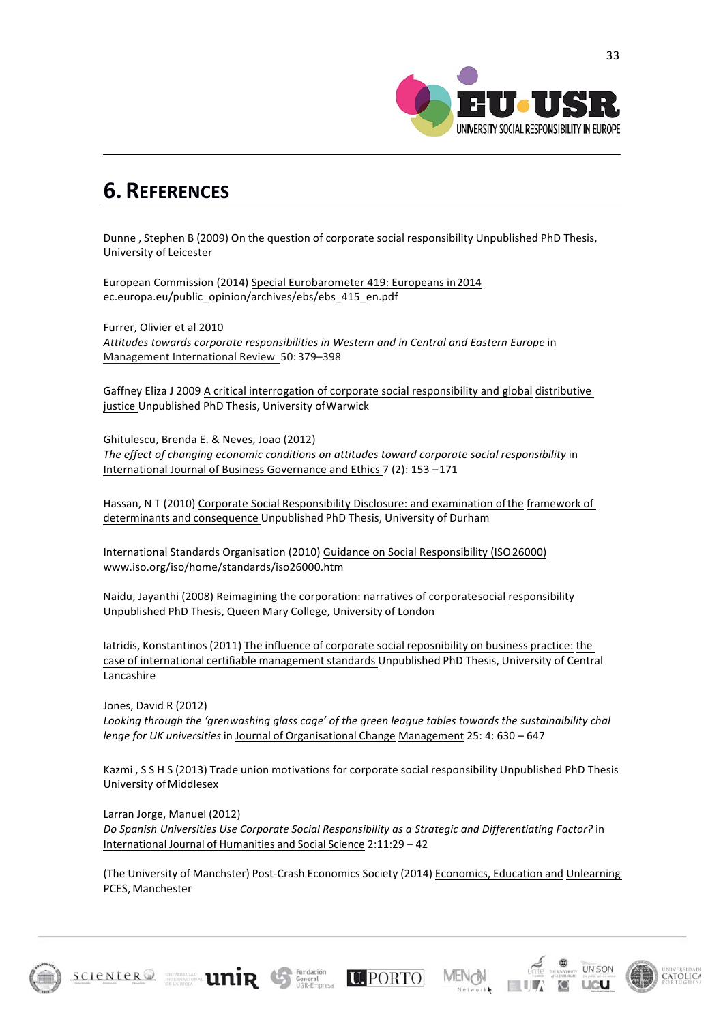

## **6. REFERENCES**

Dunne , Stephen B (2009) On the question of corporate social responsibility Unpublished PhD Thesis, University of Leicester

European Commission (2014) Special Eurobarometer 419: Europeans in 2014 ec.europa.eu/public\_opinion/archives/ebs/ebs\_415\_en.pdf

Furrer, Olivier et al 2010 *Attitudes towards corporate responsibilities in Western and in Central and Eastern Europe* in Management International Review 50: 379-398

Gaffney Eliza J 2009 A critical interrogation of corporate social responsibility and global distributive justice Unpublished PhD Thesis, University of Warwick

Ghitulescu, Brenda E. & Neves, Joao (2012) *The effect of changing economic conditions on attitudes toward corporate social responsibility* in International Journal of Business Governance and Ethics 7 (2): 153-171

Hassan, N T (2010) Corporate Social Responsibility Disclosure: and examination of the framework of determinants and consequence Unpublished PhD Thesis, University of Durham

International Standards Organisation (2010) Guidance on Social Responsibility (ISO 26000) www.iso.org/iso/home/standards/iso26000.htm

Naidu, Jayanthi (2008) Reimagining the corporation: narratives of corporatesocial responsibility Unpublished PhD Thesis, Queen Mary College, University of London

Iatridis, Konstantinos (2011) The influence of corporate social reposnibility on business practice: the case of international certifiable management standards Unpublished PhD Thesis, University of Central Lancashire

Jones, David R (2012) *Looking through the 'grenwashing glass cage' of the green league tables towards the sustainaibility chal lenge for UK universities* in Journal of Organisational Change Management 25: 4: 630 – 647

Kazmi, S S H S (2013) Trade union motivations for corporate social responsibility Unpublished PhD Thesis University of Middlesex

Larran Jorge, Manuel (2012)

*Do Spanish Universities Use Corporate Social Responsibility as a Strategic and Differentiating Factor?* in International Journal of Humanities and Social Science 2:11:29 – 42

(The University of Manchster) Post-Crash Economics Society (2014) Economics, Education and Unlearning PCES, Manchester